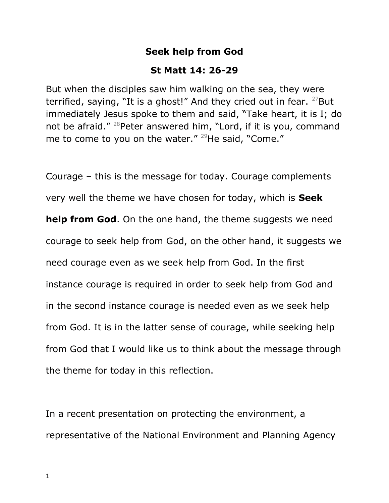## **Seek help from God**

## **St Matt 14: 26-29**

But when the disciples saw him walking on the sea, they were terrified, saying, "It is a ghost!" And they cried out in fear. <sup>27</sup>But immediately Jesus spoke to them and said, "Take heart, it is I; do not be afraid."<sup>28</sup>Peter answered him, "Lord, if it is you, command me to come to you on the water." <sup>29</sup>He said, "Come."

Courage – this is the message for today. Courage complements very well the theme we have chosen for today, which is **Seek help from God**. On the one hand, the theme suggests we need courage to seek help from God, on the other hand, it suggests we need courage even as we seek help from God. In the first instance courage is required in order to seek help from God and in the second instance courage is needed even as we seek help from God. It is in the latter sense of courage, while seeking help from God that I would like us to think about the message through the theme for today in this reflection.

In a recent presentation on protecting the environment, a representative of the National Environment and Planning Agency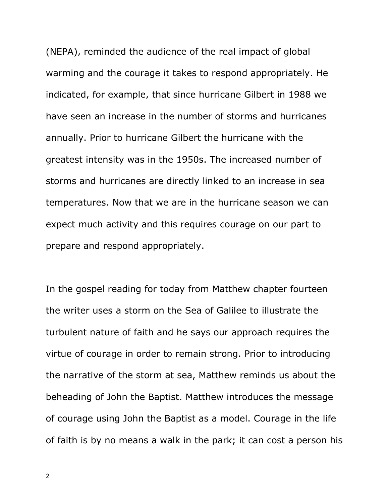(NEPA), reminded the audience of the real impact of global warming and the courage it takes to respond appropriately. He indicated, for example, that since hurricane Gilbert in 1988 we have seen an increase in the number of storms and hurricanes annually. Prior to hurricane Gilbert the hurricane with the greatest intensity was in the 1950s. The increased number of storms and hurricanes are directly linked to an increase in sea temperatures. Now that we are in the hurricane season we can expect much activity and this requires courage on our part to prepare and respond appropriately.

In the gospel reading for today from Matthew chapter fourteen the writer uses a storm on the Sea of Galilee to illustrate the turbulent nature of faith and he says our approach requires the virtue of courage in order to remain strong. Prior to introducing the narrative of the storm at sea, Matthew reminds us about the beheading of John the Baptist. Matthew introduces the message of courage using John the Baptist as a model. Courage in the life of faith is by no means a walk in the park; it can cost a person his

2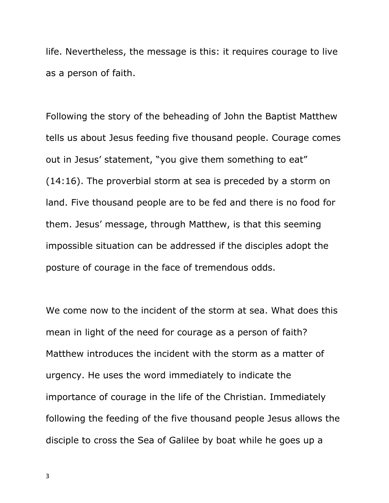life. Nevertheless, the message is this: it requires courage to live as a person of faith.

Following the story of the beheading of John the Baptist Matthew tells us about Jesus feeding five thousand people. Courage comes out in Jesus' statement, "you give them something to eat" (14:16). The proverbial storm at sea is preceded by a storm on land. Five thousand people are to be fed and there is no food for them. Jesus' message, through Matthew, is that this seeming impossible situation can be addressed if the disciples adopt the posture of courage in the face of tremendous odds.

We come now to the incident of the storm at sea. What does this mean in light of the need for courage as a person of faith? Matthew introduces the incident with the storm as a matter of urgency. He uses the word immediately to indicate the importance of courage in the life of the Christian. Immediately following the feeding of the five thousand people Jesus allows the disciple to cross the Sea of Galilee by boat while he goes up a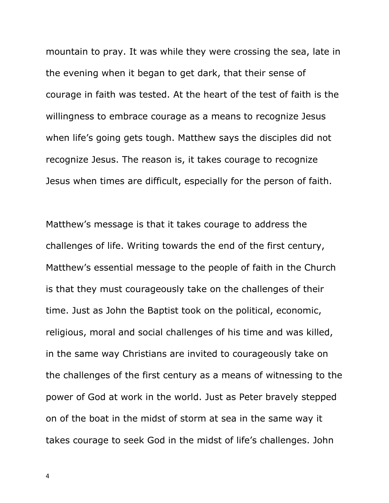mountain to pray. It was while they were crossing the sea, late in the evening when it began to get dark, that their sense of courage in faith was tested. At the heart of the test of faith is the willingness to embrace courage as a means to recognize Jesus when life's going gets tough. Matthew says the disciples did not recognize Jesus. The reason is, it takes courage to recognize Jesus when times are difficult, especially for the person of faith.

Matthew's message is that it takes courage to address the challenges of life. Writing towards the end of the first century, Matthew's essential message to the people of faith in the Church is that they must courageously take on the challenges of their time. Just as John the Baptist took on the political, economic, religious, moral and social challenges of his time and was killed, in the same way Christians are invited to courageously take on the challenges of the first century as a means of witnessing to the power of God at work in the world. Just as Peter bravely stepped on of the boat in the midst of storm at sea in the same way it takes courage to seek God in the midst of life's challenges. John

4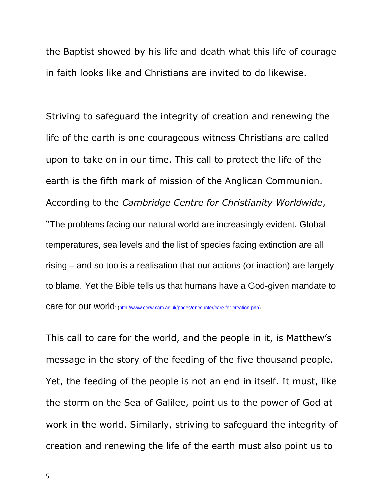the Baptist showed by his life and death what this life of courage in faith looks like and Christians are invited to do likewise.

Striving to safeguard the integrity of creation and renewing the life of the earth is one courageous witness Christians are called upon to take on in our time. This call to protect the life of the earth is the fifth mark of mission of the Anglican Communion. According to the *Cambridge Centre for Christianity Worldwide*, "The problems facing our natural world are increasingly evident. Global temperatures, sea levels and the list of species facing extinction are all rising – and so too is a realisation that our actions (or inaction) are largely to blame. Yet the Bible tells us that humans have a God-given mandate to care for our world" [\(http://www.cccw.cam.ac.uk/pages/encounter/care-for-creation.php\)](http://www.cccw.cam.ac.uk/pages/encounter/care-for-creation.php).

This call to care for the world, and the people in it, is Matthew's message in the story of the feeding of the five thousand people. Yet, the feeding of the people is not an end in itself. It must, like the storm on the Sea of Galilee, point us to the power of God at work in the world. Similarly, striving to safeguard the integrity of creation and renewing the life of the earth must also point us to